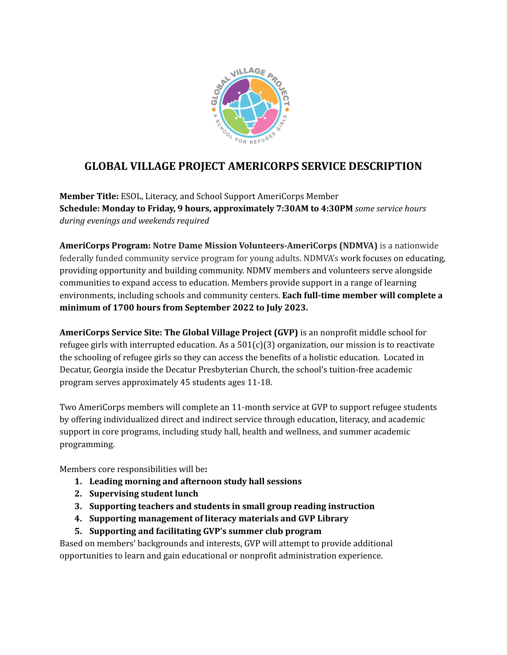

# **GLOBAL VILLAGE PROJECT AMERICORPS SERVICE DESCRIPTION**

**Member Title:** ESOL, Literacy, and School Support AmeriCorps Member **Schedule: Monday to Friday, 9 hours, approximately 7:30AM to 4:30PM** *some service hours during evenings and weekends required*

**AmeriCorps Program: Notre Dame Mission Volunteers-AmeriCorps (NDMVA)** is a nationwide federally funded community service program for young adults. NDMVA's work focuses on educating, providing opportunity and building community. NDMV members and volunteers serve alongside communities to expand access to education. Members provide support in a range of learning environments, including schools and community centers. **Each full-time member will complete a minimum of 1700 hours from September 2022 to July 2023.**

**AmeriCorps Service Site: The Global Village Project (GVP)** is an nonprofit middle school for refugee girls with interrupted education. As a  $501(c)(3)$  organization, our mission is to reactivate the schooling of refugee girls so they can access the benefits of a holistic education. Located in Decatur, Georgia inside the Decatur Presbyterian Church, the school's tuition-free academic program serves approximately 45 students ages 11-18.

Two AmeriCorps members will complete an 11-month service at GVP to support refugee students by offering individualized direct and indirect service through education, literacy, and academic support in core programs, including study hall, health and wellness, and summer academic programming.

Members core responsibilities will be**:**

- **1. Leading morning and afternoon study hall sessions**
- **2. Supervising student lunch**
- **3. Supporting teachers and students in small group reading instruction**
- **4. Supporting management of literacy materials and GVP Library**
- **5. Supporting and facilitating GVP's summer club program**

Based on members' backgrounds and interests, GVP will attempt to provide additional opportunities to learn and gain educational or nonprofit administration experience.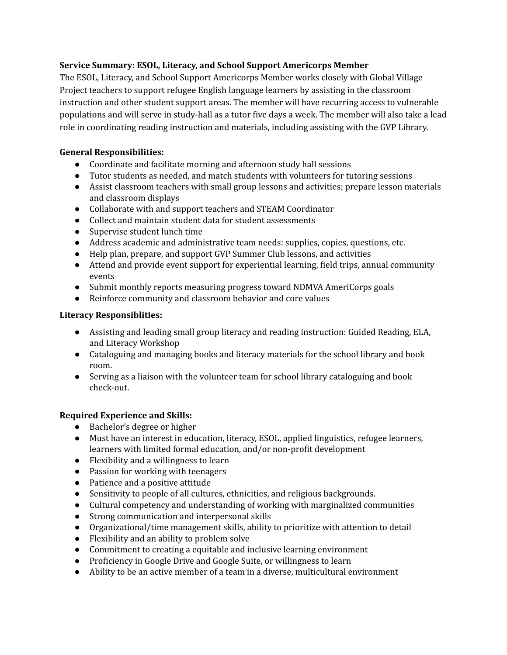### **Service Summary: ESOL, Literacy, and School Support Americorps Member**

The ESOL, Literacy, and School Support Americorps Member works closely with Global Village Project teachers to support refugee English language learners by assisting in the classroom instruction and other student support areas. The member will have recurring access to vulnerable populations and will serve in study-hall as a tutor five days a week. The member will also take a lead role in coordinating reading instruction and materials, including assisting with the GVP Library.

### **General Responsibilities:**

- Coordinate and facilitate morning and afternoon study hall sessions
- Tutor students as needed, and match students with volunteers for tutoring sessions
- Assist classroom teachers with small group lessons and activities; prepare lesson materials and classroom displays
- Collaborate with and support teachers and STEAM Coordinator
- Collect and maintain student data for student assessments
- Supervise student lunch time
- Address academic and administrative team needs: supplies, copies, questions, etc.
- Help plan, prepare, and support GVP Summer Club lessons, and activities
- Attend and provide event support for experiential learning, field trips, annual community events
- Submit monthly reports measuring progress toward NDMVA AmeriCorps goals
- Reinforce community and classroom behavior and core values

# **Literacy Responsiblities:**

- Assisting and leading small group literacy and reading instruction: Guided Reading, ELA, and Literacy Workshop
- Cataloguing and managing books and literacy materials for the school library and book room.
- Serving as a liaison with the volunteer team for school library cataloguing and book check-out.

# **Required Experience and Skills:**

- Bachelor's degree or higher
- Must have an interest in education, literacy, ESOL, applied linguistics, refugee learners, learners with limited formal education, and/or non-profit development
- Flexibility and a willingness to learn
- Passion for working with teenagers
- Patience and a positive attitude
- Sensitivity to people of all cultures, ethnicities, and religious backgrounds.
- Cultural competency and understanding of working with marginalized communities
- Strong communication and interpersonal skills
- Organizational/time management skills, ability to prioritize with attention to detail
- Flexibility and an ability to problem solve
- Commitment to creating a equitable and inclusive learning environment
- Proficiency in Google Drive and Google Suite, or willingness to learn
- Ability to be an active member of a team in a diverse, multicultural environment